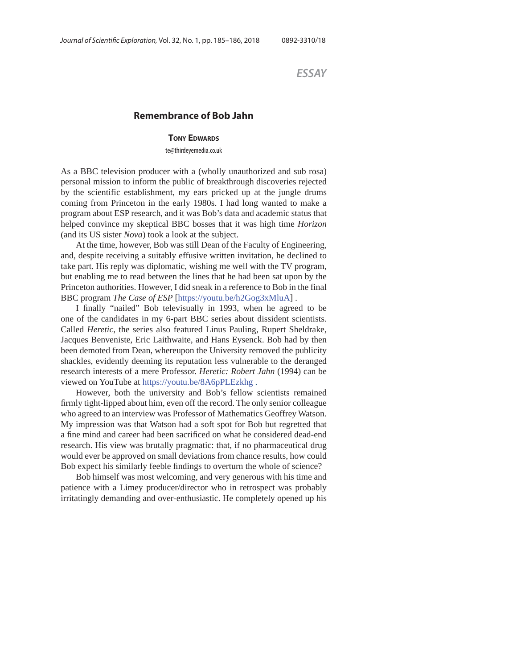*ESSAY*

## **Remembrance of Bob Jahn**

## **TONY EDWARDS**

te@thirdeyemedia.co.uk

As a BBC television producer with a (wholly unauthorized and sub rosa) personal mission to inform the public of breakthrough discoveries rejected by the scientific establishment, my ears pricked up at the jungle drums coming from Princeton in the early 1980s. I had long wanted to make a program about ESP research, and it was Bob's data and academic status that helped convince my skeptical BBC bosses that it was high time *Horizon* (and its US sister *Nova*) took a look at the subject.

At the time, however, Bob was still Dean of the Faculty of Engineering, and, despite receiving a suitably effusive written invitation, he declined to take part. His reply was diplomatic, wishing me well with the TV program, but enabling me to read between the lines that he had been sat upon by the Princeton authorities. However, I did sneak in a reference to Bob in the final BBC program *The Case of ESP* [https://youtu.be/h2Gog3xMluA] .

I finally "nailed" Bob televisually in 1993, when he agreed to be one of the candidates in my 6-part BBC series about dissident scientists. Called *Heretic*, the series also featured Linus Pauling, Rupert Sheldrake, Jacques Benveniste, Eric Laithwaite, and Hans Eysenck. Bob had by then been demoted from Dean, whereupon the University removed the publicity shackles, evidently deeming its reputation less vulnerable to the deranged research interests of a mere Professor. *Heretic: Robert Jahn* (1994) can be viewed on YouTube at https://youtu.be/8A6pPLEzkhg .

However, both the university and Bob's fellow scientists remained firmly tight-lipped about him, even off the record. The only senior colleague who agreed to an interview was Professor of Mathematics Geoffrey Watson. My impression was that Watson had a soft spot for Bob but regretted that a fine mind and career had been sacrificed on what he considered dead-end research. His view was brutally pragmatic: that, if no pharmaceutical drug would ever be approved on small deviations from chance results, how could Bob expect his similarly feeble findings to overturn the whole of science?

Bob himself was most welcoming, and very generous with his time and patience with a Limey producer/director who in retrospect was probably irritatingly demanding and over-enthusiastic. He completely opened up his